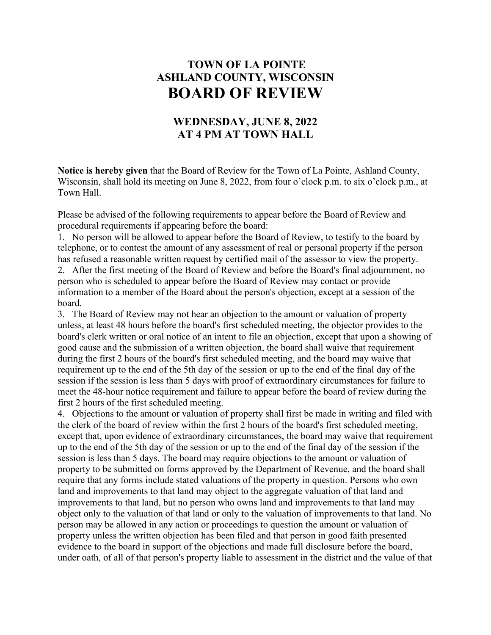## **TOWN OF LA POINTE ASHLAND COUNTY, WISCONSIN BOARD OF REVIEW**

## **WEDNESDAY, JUNE 8, 2022 AT 4 PM AT TOWN HALL**

**Notice is hereby given** that the Board of Review for the Town of La Pointe, Ashland County, Wisconsin, shall hold its meeting on June 8, 2022, from four o'clock p.m. to six o'clock p.m., at Town Hall.

Please be advised of the following requirements to appear before the Board of Review and procedural requirements if appearing before the board:

1. No person will be allowed to appear before the Board of Review, to testify to the board by telephone, or to contest the amount of any assessment of real or personal property if the person has refused a reasonable written request by certified mail of the assessor to view the property. 2. After the first meeting of the Board of Review and before the Board's final adjournment, no

person who is scheduled to appear before the Board of Review may contact or provide information to a member of the Board about the person's objection, except at a session of the board.

3. The Board of Review may not hear an objection to the amount or valuation of property unless, at least 48 hours before the board's first scheduled meeting, the objector provides to the board's clerk written or oral notice of an intent to file an objection, except that upon a showing of good cause and the submission of a written objection, the board shall waive that requirement during the first 2 hours of the board's first scheduled meeting, and the board may waive that requirement up to the end of the 5th day of the session or up to the end of the final day of the session if the session is less than 5 days with proof of extraordinary circumstances for failure to meet the 48-hour notice requirement and failure to appear before the board of review during the first 2 hours of the first scheduled meeting.

4. Objections to the amount or valuation of property shall first be made in writing and filed with the clerk of the board of review within the first 2 hours of the board's first scheduled meeting, except that, upon evidence of extraordinary circumstances, the board may waive that requirement up to the end of the 5th day of the session or up to the end of the final day of the session if the session is less than 5 days. The board may require objections to the amount or valuation of property to be submitted on forms approved by the Department of Revenue, and the board shall require that any forms include stated valuations of the property in question. Persons who own land and improvements to that land may object to the aggregate valuation of that land and improvements to that land, but no person who owns land and improvements to that land may object only to the valuation of that land or only to the valuation of improvements to that land. No person may be allowed in any action or proceedings to question the amount or valuation of property unless the written objection has been filed and that person in good faith presented evidence to the board in support of the objections and made full disclosure before the board, under oath, of all of that person's property liable to assessment in the district and the value of that